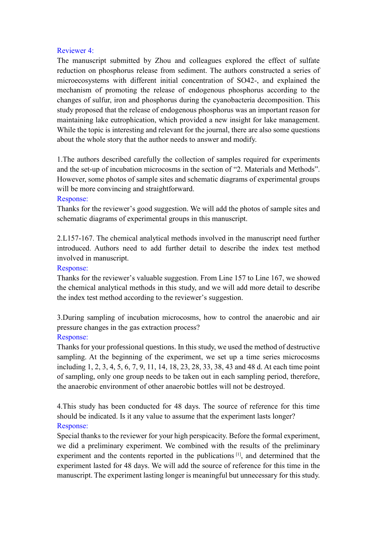#### Reviewer 4:

The manuscript submitted by Zhou and colleagues explored the effect of sulfate reduction on phosphorus release from sediment. The authors constructed a series of microecosystems with different initial concentration of SO42-, and explained the mechanism of promoting the release of endogenous phosphorus according to the changes of sulfur, iron and phosphorus during the cyanobacteria decomposition. This study proposed that the release of endogenous phosphorus was an important reason for maintaining lake eutrophication, which provided a new insight for lake management. While the topic is interesting and relevant for the journal, there are also some questions about the whole story that the author needs to answer and modify.

1.The authors described carefully the collection of samples required for experiments and the set-up of incubation microcosms in the section of "2. Materials and Methods". However, some photos of sample sites and schematic diagrams of experimental groups will be more convincing and straightforward.

#### Response:

Thanks for the reviewer's good suggestion. We will add the photos of sample sites and schematic diagrams of experimental groups in this manuscript.

2.L157-167. The chemical analytical methods involved in the manuscript need further introduced. Authors need to add further detail to describe the index test method involved in manuscript.

### Response:

Thanks for the reviewer's valuable suggestion. From Line 157 to Line 167, we showed the chemical analytical methods in this study, and we will add more detail to describe the index test method according to the reviewer's suggestion.

3.During sampling of incubation microcosms, how to control the anaerobic and air pressure changes in the gas extraction process?

## Response:

Thanks for your professional questions. In this study, we used the method of destructive sampling. At the beginning of the experiment, we set up a time series microcosms including 1, 2, 3, 4, 5, 6, 7, 9, 11, 14, 18, 23, 28, 33, 38, 43 and 48 d. At each time point of sampling, only one group needs to be taken out in each sampling period, therefore, the anaerobic environment of other anaerobic bottles will not be destroyed.

4.This study has been conducted for 48 days. The source of reference for this time should be indicated. Is it any value to assume that the experiment lasts longer? Response:

Special thanks to the reviewer for your high perspicacity. Before the formal experiment, we did a preliminary experiment. We combined with the results of the preliminary experiment and the contents reported in the publications<sup>[1]</sup>, and determined that the experiment lasted for 48 days. We will add the source of reference for this time in the manuscript. The experiment lasting longer is meaningful but unnecessary for this study.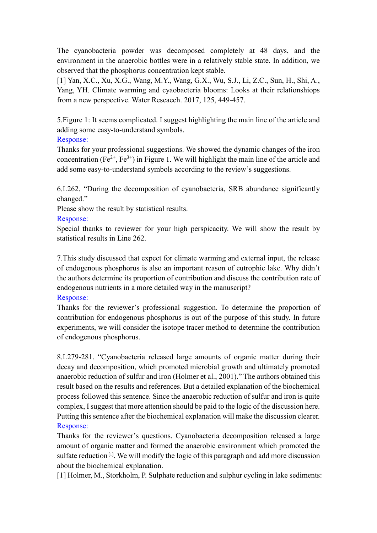The cyanobacteria powder was decomposed completely at 48 days, and the environment in the anaerobic bottles were in a relatively stable state. In addition, we observed that the phosphorus concentration kept stable.

[1] Yan, X.C., Xu, X.G., Wang, M.Y., Wang, G.X., Wu, S.J., Li, Z.C., Sun, H., Shi, A., Yang, YH. Climate warming and cyaobacteria blooms: Looks at their relationshiops from a new perspective. Water Reseaech. 2017, 125, 449-457.

5.Figure 1: It seems complicated. I suggest highlighting the main line of the article and adding some easy-to-understand symbols.

Response:

Thanks for your professional suggestions. We showed the dynamic changes of the iron concentration ( $Fe^{2+}$ ,  $Fe^{3+}$ ) in Figure 1. We will highlight the main line of the article and add some easy-to-understand symbols according to the review's suggestions.

6.L262. "During the decomposition of cyanobacteria, SRB abundance significantly changed."

Please show the result by statistical results.

# Response:

Special thanks to reviewer for your high perspicacity. We will show the result by statistical results in Line 262.

7.This study discussed that expect for climate warming and external input, the release of endogenous phosphorus is also an important reason of eutrophic lake. Why didn't the authors determine its proportion of contribution and discuss the contribution rate of endogenous nutrients in a more detailed way in the manuscript?

## Response:

Thanks for the reviewer's professional suggestion. To determine the proportion of contribution for endogenous phosphorus is out of the purpose of this study. In future experiments, we will consider the isotope tracer method to determine the contribution of endogenous phosphorus.

8.L279-281. "Cyanobacteria released large amounts of organic matter during their decay and decomposition, which promoted microbial growth and ultimately promoted anaerobic reduction of sulfur and iron (Holmer et al., 2001)." The authors obtained this result based on the results and references. But a detailed explanation of the biochemical process followed this sentence. Since the anaerobic reduction of sulfur and iron is quite complex, I suggest that more attention should be paid to the logic of the discussion here. Putting this sentence after the biochemical explanation will make the discussion clearer. Response:

Thanks for the reviewer's questions. Cyanobacteria decomposition released a large amount of organic matter and formed the anaerobic environment which promoted the sulfate reduction<sup>[1]</sup>. We will modify the logic of this paragraph and add more discussion about the biochemical explanation.

[1] Holmer, M., Storkholm, P. Sulphate reduction and sulphur cycling in lake sediments: